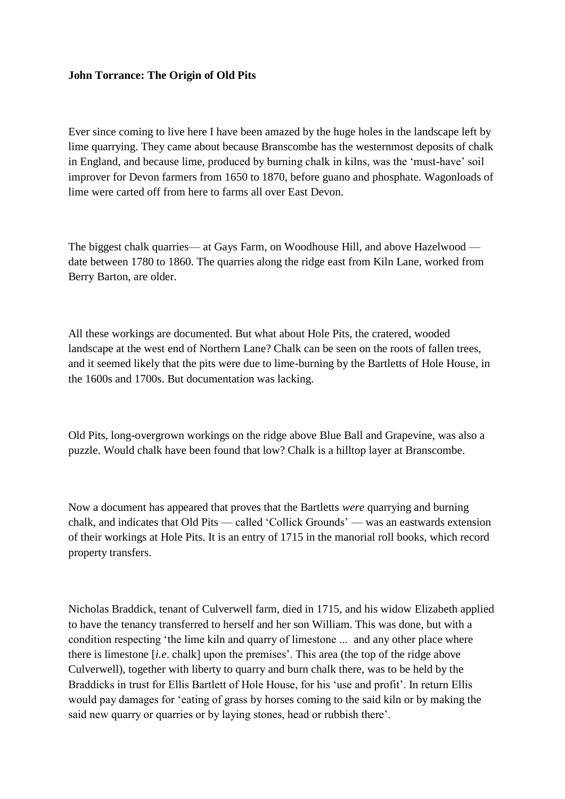## **John Torrance: The Origin of Old Pits**

Ever since coming to live here I have been amazed by the huge holes in the landscape left by lime quarrying. They came about because Branscombe has the westernmost deposits of chalk in England, and because lime, produced by burning chalk in kilns, was the 'must-have' soil improver for Devon farmers from 1650 to 1870, before guano and phosphate. Wagonloads of lime were carted off from here to farms all over East Devon.

The biggest chalk quarries— at Gays Farm, on Woodhouse Hill, and above Hazelwood date between 1780 to 1860. The quarries along the ridge east from Kiln Lane, worked from Berry Barton, are older.

All these workings are documented. But what about Hole Pits, the cratered, wooded landscape at the west end of Northern Lane? Chalk can be seen on the roots of fallen trees, and it seemed likely that the pits were due to lime-burning by the Bartletts of Hole House, in the 1600s and 1700s. But documentation was lacking.

Old Pits, long-overgrown workings on the ridge above Blue Ball and Grapevine, was also a puzzle. Would chalk have been found that low? Chalk is a hilltop layer at Branscombe.

Now a document has appeared that proves that the Bartletts *were* quarrying and burning chalk, and indicates that Old Pits — called 'Collick Grounds' — was an eastwards extension of their workings at Hole Pits. It is an entry of 1715 in the manorial roll books, which record property transfers.

Nicholas Braddick, tenant of Culverwell farm, died in 1715, and his widow Elizabeth applied to have the tenancy transferred to herself and her son William. This was done, but with a condition respecting 'the lime kiln and quarry of limestone ... and any other place where there is limestone [*i.e*. chalk] upon the premises'. This area (the top of the ridge above Culverwell), together with liberty to quarry and burn chalk there, was to be held by the Braddicks in trust for Ellis Bartlett of Hole House, for his 'use and profit'. In return Ellis would pay damages for 'eating of grass by horses coming to the said kiln or by making the said new quarry or quarries or by laying stones, head or rubbish there'.